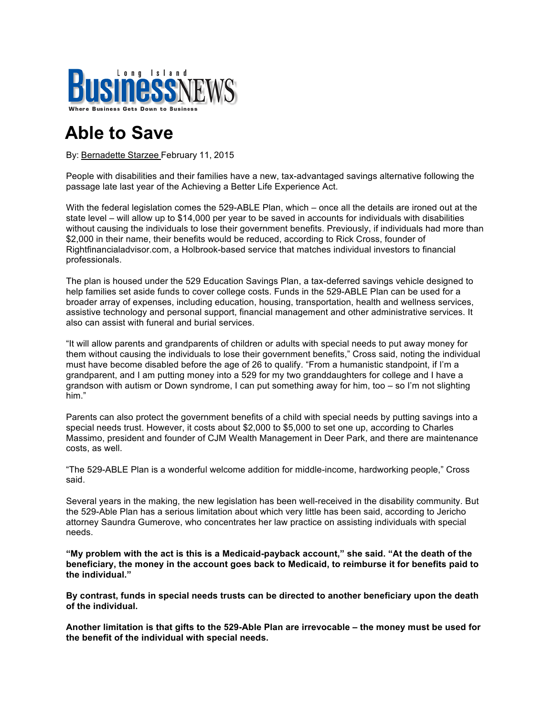

## **Able to Save**

By: Bernadette Starzee February 11, 2015

People with disabilities and their families have a new, tax-advantaged savings alternative following the passage late last year of the Achieving a Better Life Experience Act.

With the federal legislation comes the 529-ABLE Plan, which – once all the details are ironed out at the state level – will allow up to \$14,000 per year to be saved in accounts for individuals with disabilities without causing the individuals to lose their government benefits. Previously, if individuals had more than \$2,000 in their name, their benefits would be reduced, according to Rick Cross, founder of Rightfinancialadvisor.com, a Holbrook-based service that matches individual investors to financial professionals.

The plan is housed under the 529 Education Savings Plan, a tax-deferred savings vehicle designed to help families set aside funds to cover college costs. Funds in the 529-ABLE Plan can be used for a broader array of expenses, including education, housing, transportation, health and wellness services, assistive technology and personal support, financial management and other administrative services. It also can assist with funeral and burial services.

"It will allow parents and grandparents of children or adults with special needs to put away money for them without causing the individuals to lose their government benefits," Cross said, noting the individual must have become disabled before the age of 26 to qualify. "From a humanistic standpoint, if I'm a grandparent, and I am putting money into a 529 for my two granddaughters for college and I have a grandson with autism or Down syndrome, I can put something away for him, too – so I'm not slighting him."

Parents can also protect the government benefits of a child with special needs by putting savings into a special needs trust. However, it costs about \$2,000 to \$5,000 to set one up, according to Charles Massimo, president and founder of CJM Wealth Management in Deer Park, and there are maintenance costs, as well.

"The 529-ABLE Plan is a wonderful welcome addition for middle-income, hardworking people," Cross said.

Several years in the making, the new legislation has been well-received in the disability community. But the 529-Able Plan has a serious limitation about which very little has been said, according to Jericho attorney Saundra Gumerove, who concentrates her law practice on assisting individuals with special needs.

**"My problem with the act is this is a Medicaid-payback account," she said. "At the death of the beneficiary, the money in the account goes back to Medicaid, to reimburse it for benefits paid to the individual."** 

**By contrast, funds in special needs trusts can be directed to another beneficiary upon the death of the individual.** 

**Another limitation is that gifts to the 529-Able Plan are irrevocable – the money must be used for the benefit of the individual with special needs.**